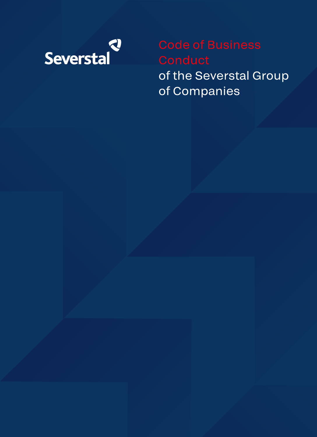

of the Severstal Group of Companies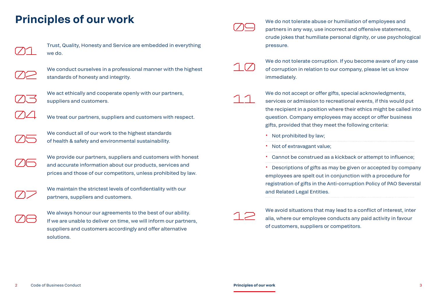## **Principles of our work**



Trust, Quality, Honesty and Service are embedded in everything we do.



We conduct ourselves in a professional manner with the highest standards of honesty and integrity.



We act ethically and cooperate openly with our partners, suppliers and customers.



We treat our partners, suppliers and customers with respect.



We conduct all of our work to the highest standards of health & safety and environmental sustainability.



We provide our partners, suppliers and customers with honest and accurate information about our products, services and prices and those of our competitors, unless prohibited by law.



We maintain the strictest levels of confidentiality with our partners, suppliers and customers.



We always honour our agreements to the best of our ability. If we are unable to deliver on time, we will inform our partners, suppliers and customers accordingly and offer alternative solutions.



We do not tolerate abuse or humiliation of employees and partners in any way, use incorrect and offensive statements, crude jokes that humiliate personal dignity, or use psychological pressure.



We do not tolerate corruption. If you become aware of any case of corruption in relation to our company, please let us know immediately.

We do not accept or offer gifts, special acknowledgments, services or admission to recreational events, if this would put the recipient in a position where their ethics might be called into question. Company employees may accept or offer business gifts, provided that they meet the following criteria:

- Not prohibited by law;
- Not of extravagant value;
- Cannot be construed as a kickback or attempt to influence;

• Descriptions of gifts as may be given or accepted by company employees are spelt out in conjunction with a procedure for registration of gifts in the Anti-corruption Policy of PAO Severstal and Related Legal Entities.



We avoid situations that may lead to a conflict of interest, inter alia, where our employee conducts any paid activity in favour of customers, suppliers or competitors.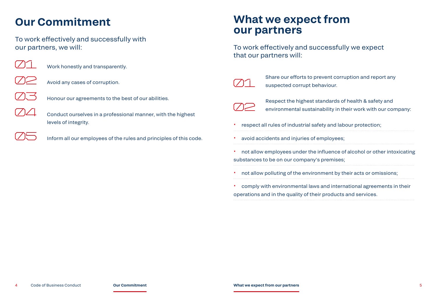## **Our Commitment**

To work effectively and successfully with our partners, we will:



Work honestly and transparently.



Avoid any cases of corruption.



Honour our agreements to the best of our abilities.



Inform all our employees of the rules and principles of this code.

## **What we expect from our partners**

To work effectively and successfully we expect that our partners will:



Share our efforts to prevent corruption and report any suspected corrupt behaviour.



Respect the highest standards of health & safety and environmental sustainability in their work with our company:

• respect all rules of industrial safety and labour protection;

avoid accidents and injuries of employees;

• not allow employees under the influence of alcohol or other intoxicating substances to be on our company's premises;

• not allow polluting of the environment by their acts or omissions;

• comply with environmental laws and international agreements in their operations and in the quality of their products and services.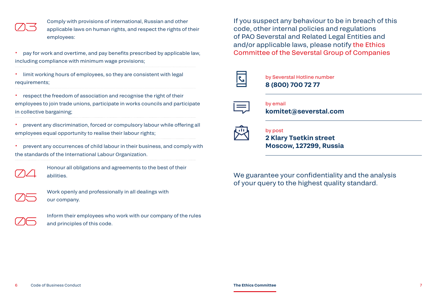Comply with provisions of international, Russian and other applicable laws on human rights, and respect the rights of their employees:

• pay for work and overtime, and pay benefits prescribed by applicable law, including compliance with minimum wage provisions;

• limit working hours of employees, so they are consistent with legal requirements;

• respect the freedom of association and recognise the right of their employees to join trade unions, participate in works councils and participate in collective bargaining;

• prevent any discrimination, forced or compulsory labour while offering all employees equal opportunity to realise their labour rights;

• prevent any occurrences of child labour in their business, and comply with the standards of the International Labour Organization.



Honour all obligations and agreements to the best of their abilities.



Work openly and professionally in all dealings with our company.



Inform their employees who work with our company of the rules and principles of this code.

If you suspect any behaviour to be in breach of this code, other internal policies and regulations of PAO Severstal and Related Legal Entities and and/or applicable laws, please notify the Ethics Committee of the Severstal Group of Companies

by Severstal Hotline number **8 (800) 700 72 77**



by email **komitet@severstal.com**

## by post

**2 Klary Tsetkin street Moscow, 127299, Russia**

We guarantee your confidentiality and the analysis of your query to the highest quality standard.